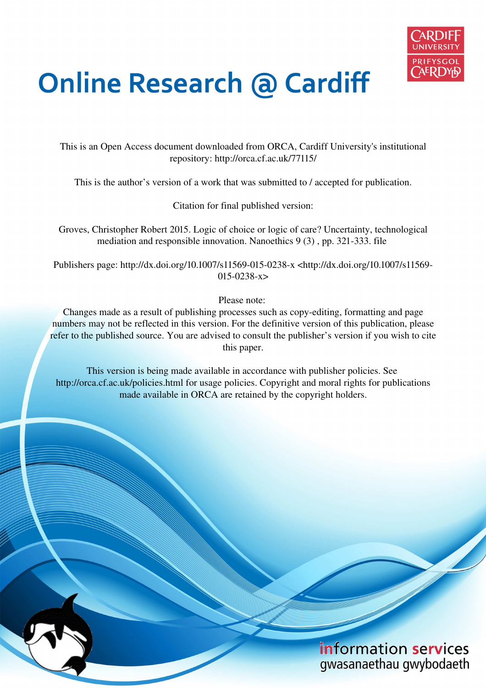

# **Online Research @ Cardiff**

This is an Open Access document downloaded from ORCA, Cardiff University's institutional repository: http://orca.cf.ac.uk/77115/

This is the author's version of a work that was submitted to / accepted for publication.

Citation for final published version:

Groves, Christopher Robert 2015. Logic of choice or logic of care? Uncertainty, technological mediation and responsible innovation. Nanoethics 9 (3) , pp. 321-333. file

Publishers page: http://dx.doi.org/10.1007/s11569-015-0238-x <http://dx.doi.org/10.1007/s11569- 015-0238-x>

Please note:

Changes made as a result of publishing processes such as copy-editing, formatting and page numbers may not be reflected in this version. For the definitive version of this publication, please refer to the published source. You are advised to consult the publisher's version if you wish to cite this paper.

This version is being made available in accordance with publisher policies. See http://orca.cf.ac.uk/policies.html for usage policies. Copyright and moral rights for publications made available in ORCA are retained by the copyright holders.

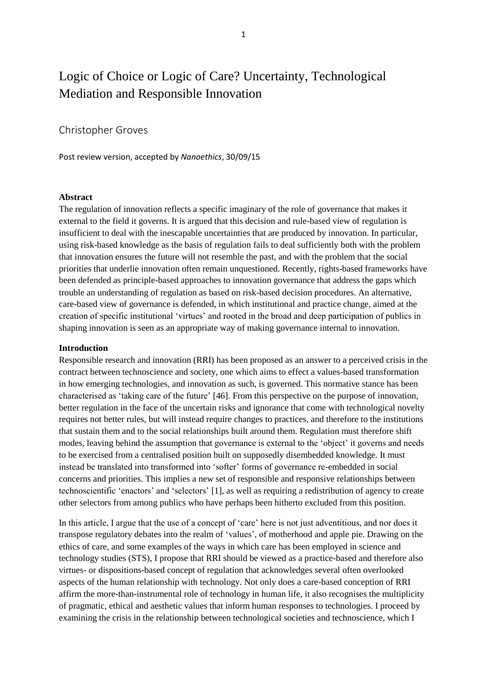## Logic of Choice or Logic of Care? Uncertainty, Technological Mediation and Responsible Innovation

### Christopher Groves

Post review version, accepted by *Nanoethics*, 30/09/15

#### **Abstract**

The regulation of innovation reflects a specific imaginary of the role of governance that makes it external to the field it governs. It is argued that this decision and rule-based view of regulation is insufficient to deal with the inescapable uncertainties that are produced by innovation. In particular, using risk-based knowledge as the basis of regulation fails to deal sufficiently both with the problem that innovation ensures the future will not resemble the past, and with the problem that the social priorities that underlie innovation often remain unquestioned. Recently, rights-based frameworks have been defended as principle-based approaches to innovation governance that address the gaps which trouble an understanding of regulation as based on risk-based decision procedures. An alternative, care-based view of governance is defended, in which institutional and practice change, aimed at the creation of specific institutional 'virtues' and rooted in the broad and deep participation of publics in shaping innovation is seen as an appropriate way of making governance internal to innovation.

#### **Introduction**

Responsible research and innovation (RRI) has been proposed as an answer to a perceived crisis in the contract between technoscience and society, one which aims to effect a values-based transformation in how emerging technologies, and innovation as such, is governed. This normative stance has been characterised as 'taking care of the future' [46]. From this perspective on the purpose of innovation, better regulation in the face of the uncertain risks and ignorance that come with technological novelty requires not better rules, but will instead require changes to practices, and therefore to the institutions that sustain them and to the social relationships built around them. Regulation must therefore shift modes, leaving behind the assumption that governance is external to the 'object' it governs and needs to be exercised from a centralised position built on supposedly disembedded knowledge. It must instead be translated into transformed into 'softer' forms of governance re-embedded in social concerns and priorities. This implies a new set of responsible and responsive relationships between technoscientific 'enactors' and 'selectors' [1], as well as requiring a redistribution of agency to create other selectors from among publics who have perhaps been hitherto excluded from this position.

In this article, I argue that the use of a concept of 'care' here is not just adventitious, and nor does it transpose regulatory debates into the realm of 'values', of motherhood and apple pie. Drawing on the ethics of care, and some examples of the ways in which care has been employed in science and technology studies (STS), I propose that RRI should be viewed as a practice-based and therefore also virtues- or dispositions-based concept of regulation that acknowledges several often overlooked aspects of the human relationship with technology. Not only does a care-based conception of RRI affirm the more-than-instrumental role of technology in human life, it also recognises the multiplicity of pragmatic, ethical and aesthetic values that inform human responses to technologies. I proceed by examining the crisis in the relationship between technological societies and technoscience, which I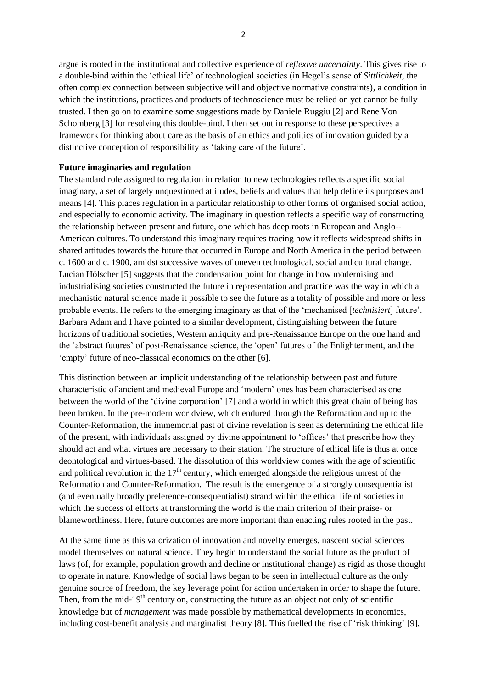argue is rooted in the institutional and collective experience of *reflexive uncertainty*. This gives rise to a double-bind within the 'ethical life' of technological societies (in Hegel's sense of *Sittlichkeit*, the often complex connection between subjective will and objective normative constraints), a condition in which the institutions, practices and products of technoscience must be relied on yet cannot be fully trusted. I then go on to examine some suggestions made by Daniele Ruggiu [2] and Rene Von Schomberg [3] for resolving this double-bind. I then set out in response to these perspectives a framework for thinking about care as the basis of an ethics and politics of innovation guided by a distinctive conception of responsibility as 'taking care of the future'.

#### **Future imaginaries and regulation**

The standard role assigned to regulation in relation to new technologies reflects a specific social imaginary, a set of largely unquestioned attitudes, beliefs and values that help define its purposes and means [4]. This places regulation in a particular relationship to other forms of organised social action, and especially to economic activity. The imaginary in question reflects a specific way of constructing the relationship between present and future, one which has deep roots in European and Anglo-- American cultures. To understand this imaginary requires tracing how it reflects widespread shifts in shared attitudes towards the future that occurred in Europe and North America in the period between c. 1600 and c. 1900, amidst successive waves of uneven technological, social and cultural change. Lucian Hölscher [5] suggests that the condensation point for change in how modernising and industrialising societies constructed the future in representation and practice was the way in which a mechanistic natural science made it possible to see the future as a totality of possible and more or less probable events. He refers to the emerging imaginary as that of the 'mechanised [*technisiert*] future'. Barbara Adam and I have pointed to a similar development, distinguishing between the future horizons of traditional societies, Western antiquity and pre-Renaissance Europe on the one hand and the 'abstract futures' of post-Renaissance science, the 'open' futures of the Enlightenment, and the 'empty' future of neo-classical economics on the other [6].

This distinction between an implicit understanding of the relationship between past and future characteristic of ancient and medieval Europe and 'modern' ones has been characterised as one between the world of the 'divine corporation' [7] and a world in which this great chain of being has been broken. In the pre-modern worldview, which endured through the Reformation and up to the Counter-Reformation, the immemorial past of divine revelation is seen as determining the ethical life of the present, with individuals assigned by divine appointment to 'offices' that prescribe how they should act and what virtues are necessary to their station. The structure of ethical life is thus at once deontological and virtues-based. The dissolution of this worldview comes with the age of scientific and political revolution in the  $17<sup>th</sup>$  century, which emerged alongside the religious unrest of the Reformation and Counter-Reformation. The result is the emergence of a strongly consequentialist (and eventually broadly preference-consequentialist) strand within the ethical life of societies in which the success of efforts at transforming the world is the main criterion of their praise- or blameworthiness. Here, future outcomes are more important than enacting rules rooted in the past.

At the same time as this valorization of innovation and novelty emerges, nascent social sciences model themselves on natural science. They begin to understand the social future as the product of laws (of, for example, population growth and decline or institutional change) as rigid as those thought to operate in nature. Knowledge of social laws began to be seen in intellectual culture as the only genuine source of freedom, the key leverage point for action undertaken in order to shape the future. Then, from the mid-19<sup>th</sup> century on, constructing the future as an object not only of scientific knowledge but of *management* was made possible by mathematical developments in economics, including cost-benefit analysis and marginalist theory [8]. This fuelled the rise of 'risk thinking' [9],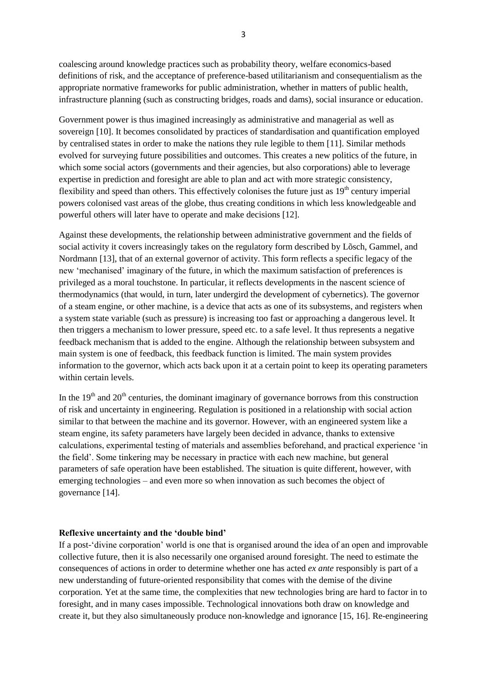coalescing around knowledge practices such as probability theory, welfare economics-based definitions of risk, and the acceptance of preference-based utilitarianism and consequentialism as the appropriate normative frameworks for public administration, whether in matters of public health, infrastructure planning (such as constructing bridges, roads and dams), social insurance or education.

Government power is thus imagined increasingly as administrative and managerial as well as sovereign [10]. It becomes consolidated by practices of standardisation and quantification employed by centralised states in order to make the nations they rule legible to them [11]. Similar methods evolved for surveying future possibilities and outcomes. This creates a new politics of the future, in which some social actors (governments and their agencies, but also corporations) able to leverage expertise in prediction and foresight are able to plan and act with more strategic consistency, flexibility and speed than others. This effectively colonises the future just as  $19<sup>th</sup>$  century imperial powers colonised vast areas of the globe, thus creating conditions in which less knowledgeable and powerful others will later have to operate and make decisions [12].

Against these developments, the relationship between administrative government and the fields of social activity it covers increasingly takes on the regulatory form described by Lõsch, Gammel, and Nordmann [13], that of an external governor of activity. This form reflects a specific legacy of the new 'mechanised' imaginary of the future, in which the maximum satisfaction of preferences is privileged as a moral touchstone. In particular, it reflects developments in the nascent science of thermodynamics (that would, in turn, later undergird the development of cybernetics). The governor of a steam engine, or other machine, is a device that acts as one of its subsystems, and registers when a system state variable (such as pressure) is increasing too fast or approaching a dangerous level. It then triggers a mechanism to lower pressure, speed etc. to a safe level. It thus represents a negative feedback mechanism that is added to the engine. Although the relationship between subsystem and main system is one of feedback, this feedback function is limited. The main system provides information to the governor, which acts back upon it at a certain point to keep its operating parameters within certain levels.

In the  $19<sup>th</sup>$  and  $20<sup>th</sup>$  centuries, the dominant imaginary of governance borrows from this construction of risk and uncertainty in engineering. Regulation is positioned in a relationship with social action similar to that between the machine and its governor. However, with an engineered system like a steam engine, its safety parameters have largely been decided in advance, thanks to extensive calculations, experimental testing of materials and assemblies beforehand, and practical experience 'in the field'. Some tinkering may be necessary in practice with each new machine, but general parameters of safe operation have been established. The situation is quite different, however, with emerging technologies – and even more so when innovation as such becomes the object of governance [14].

#### **Reflexive uncertainty and the 'double bind'**

If a post-'divine corporation' world is one that is organised around the idea of an open and improvable collective future, then it is also necessarily one organised around foresight. The need to estimate the consequences of actions in order to determine whether one has acted *ex ante* responsibly is part of a new understanding of future-oriented responsibility that comes with the demise of the divine corporation. Yet at the same time, the complexities that new technologies bring are hard to factor in to foresight, and in many cases impossible. Technological innovations both draw on knowledge and create it, but they also simultaneously produce non-knowledge and ignorance [15, 16]. Re-engineering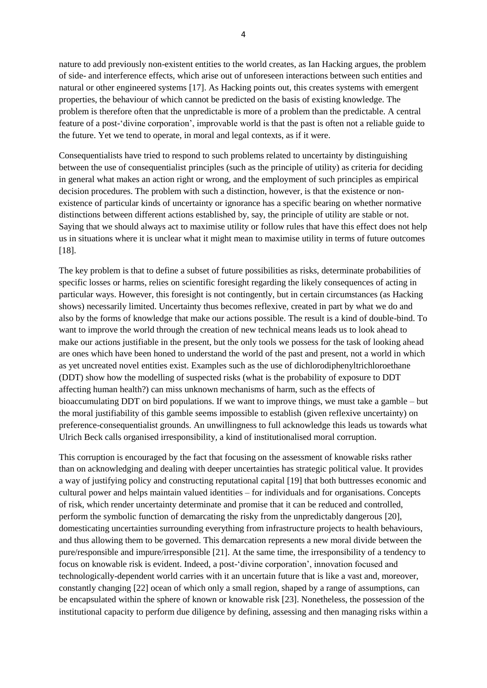nature to add previously non-existent entities to the world creates, as Ian Hacking argues, the problem of side- and interference effects, which arise out of unforeseen interactions between such entities and natural or other engineered systems [17]. As Hacking points out, this creates systems with emergent properties, the behaviour of which cannot be predicted on the basis of existing knowledge. The problem is therefore often that the unpredictable is more of a problem than the predictable. A central feature of a post-'divine corporation', improvable world is that the past is often not a reliable guide to the future. Yet we tend to operate, in moral and legal contexts, as if it were.

Consequentialists have tried to respond to such problems related to uncertainty by distinguishing between the use of consequentialist principles (such as the principle of utility) as criteria for deciding in general what makes an action right or wrong, and the employment of such principles as empirical decision procedures. The problem with such a distinction, however, is that the existence or nonexistence of particular kinds of uncertainty or ignorance has a specific bearing on whether normative distinctions between different actions established by, say, the principle of utility are stable or not. Saying that we should always act to maximise utility or follow rules that have this effect does not help us in situations where it is unclear what it might mean to maximise utility in terms of future outcomes [18].

The key problem is that to define a subset of future possibilities as risks, determinate probabilities of specific losses or harms, relies on scientific foresight regarding the likely consequences of acting in particular ways. However, this foresight is not contingently, but in certain circumstances (as Hacking shows) necessarily limited. Uncertainty thus becomes reflexive, created in part by what we do and also by the forms of knowledge that make our actions possible. The result is a kind of double-bind. To want to improve the world through the creation of new technical means leads us to look ahead to make our actions justifiable in the present, but the only tools we possess for the task of looking ahead are ones which have been honed to understand the world of the past and present, not a world in which as yet uncreated novel entities exist. Examples such as the use of dichlorodiphenyltrichloroethane (DDT) show how the modelling of suspected risks (what is the probability of exposure to DDT affecting human health?) can miss unknown mechanisms of harm, such as the effects of bioaccumulating DDT on bird populations. If we want to improve things, we must take a gamble – but the moral justifiability of this gamble seems impossible to establish (given reflexive uncertainty) on preference-consequentialist grounds. An unwillingness to full acknowledge this leads us towards what Ulrich Beck calls organised irresponsibility, a kind of institutionalised moral corruption.

This corruption is encouraged by the fact that focusing on the assessment of knowable risks rather than on acknowledging and dealing with deeper uncertainties has strategic political value. It provides a way of justifying policy and constructing reputational capital [19] that both buttresses economic and cultural power and helps maintain valued identities – for individuals and for organisations. Concepts of risk, which render uncertainty determinate and promise that it can be reduced and controlled, perform the symbolic function of demarcating the risky from the unpredictably dangerous [20], domesticating uncertainties surrounding everything from infrastructure projects to health behaviours, and thus allowing them to be governed. This demarcation represents a new moral divide between the pure/responsible and impure/irresponsible [21]. At the same time, the irresponsibility of a tendency to focus on knowable risk is evident. Indeed, a post-'divine corporation', innovation focused and technologically-dependent world carries with it an uncertain future that is like a vast and, moreover, constantly changing [22] ocean of which only a small region, shaped by a range of assumptions, can be encapsulated within the sphere of known or knowable risk [23]. Nonetheless, the possession of the institutional capacity to perform due diligence by defining, assessing and then managing risks within a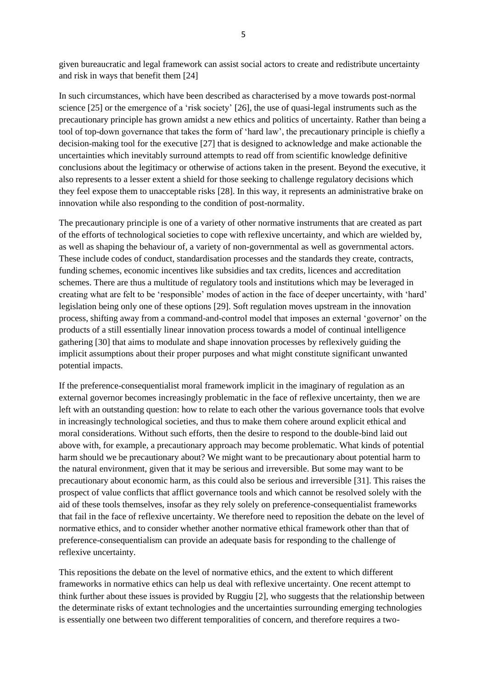given bureaucratic and legal framework can assist social actors to create and redistribute uncertainty and risk in ways that benefit them [24]

In such circumstances, which have been described as characterised by a move towards post-normal science [25] or the emergence of a 'risk society' [26], the use of quasi-legal instruments such as the precautionary principle has grown amidst a new ethics and politics of uncertainty. Rather than being a tool of top-down governance that takes the form of 'hard law', the precautionary principle is chiefly a decision-making tool for the executive [27] that is designed to acknowledge and make actionable the uncertainties which inevitably surround attempts to read off from scientific knowledge definitive conclusions about the legitimacy or otherwise of actions taken in the present. Beyond the executive, it also represents to a lesser extent a shield for those seeking to challenge regulatory decisions which they feel expose them to unacceptable risks [28]. In this way, it represents an administrative brake on innovation while also responding to the condition of post-normality.

The precautionary principle is one of a variety of other normative instruments that are created as part of the efforts of technological societies to cope with reflexive uncertainty, and which are wielded by, as well as shaping the behaviour of, a variety of non-governmental as well as governmental actors. These include codes of conduct, standardisation processes and the standards they create, contracts, funding schemes, economic incentives like subsidies and tax credits, licences and accreditation schemes. There are thus a multitude of regulatory tools and institutions which may be leveraged in creating what are felt to be 'responsible' modes of action in the face of deeper uncertainty, with 'hard' legislation being only one of these options [29]. Soft regulation moves upstream in the innovation process, shifting away from a command-and-control model that imposes an external 'governor' on the products of a still essentially linear innovation process towards a model of continual intelligence gathering [30] that aims to modulate and shape innovation processes by reflexively guiding the implicit assumptions about their proper purposes and what might constitute significant unwanted potential impacts.

If the preference-consequentialist moral framework implicit in the imaginary of regulation as an external governor becomes increasingly problematic in the face of reflexive uncertainty, then we are left with an outstanding question: how to relate to each other the various governance tools that evolve in increasingly technological societies, and thus to make them cohere around explicit ethical and moral considerations. Without such efforts, then the desire to respond to the double-bind laid out above with, for example, a precautionary approach may become problematic. What kinds of potential harm should we be precautionary about? We might want to be precautionary about potential harm to the natural environment, given that it may be serious and irreversible. But some may want to be precautionary about economic harm, as this could also be serious and irreversible [31]. This raises the prospect of value conflicts that afflict governance tools and which cannot be resolved solely with the aid of these tools themselves, insofar as they rely solely on preference-consequentialist frameworks that fail in the face of reflexive uncertainty. We therefore need to reposition the debate on the level of normative ethics, and to consider whether another normative ethical framework other than that of preference-consequentialism can provide an adequate basis for responding to the challenge of reflexive uncertainty.

This repositions the debate on the level of normative ethics, and the extent to which different frameworks in normative ethics can help us deal with reflexive uncertainty. One recent attempt to think further about these issues is provided by Ruggiu [2], who suggests that the relationship between the determinate risks of extant technologies and the uncertainties surrounding emerging technologies is essentially one between two different temporalities of concern, and therefore requires a two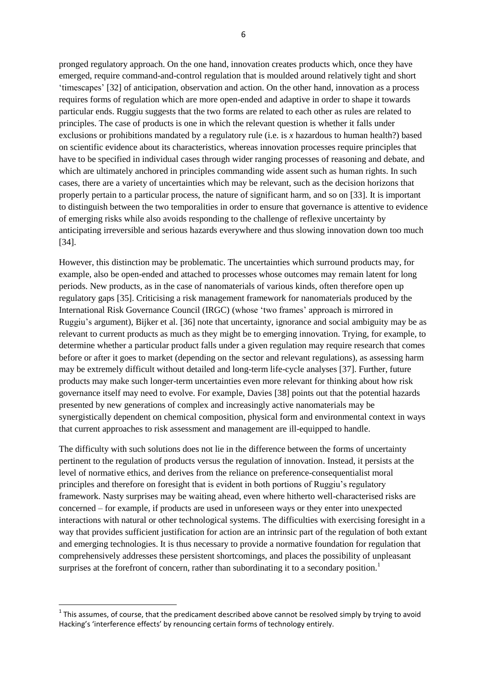pronged regulatory approach. On the one hand, innovation creates products which, once they have emerged, require command-and-control regulation that is moulded around relatively tight and short 'timescapes' [32] of anticipation, observation and action. On the other hand, innovation as a process requires forms of regulation which are more open-ended and adaptive in order to shape it towards particular ends. Ruggiu suggests that the two forms are related to each other as rules are related to principles. The case of products is one in which the relevant question is whether it falls under exclusions or prohibitions mandated by a regulatory rule (i.e. is *x* hazardous to human health?) based on scientific evidence about its characteristics, whereas innovation processes require principles that have to be specified in individual cases through wider ranging processes of reasoning and debate, and which are ultimately anchored in principles commanding wide assent such as human rights. In such cases, there are a variety of uncertainties which may be relevant, such as the decision horizons that properly pertain to a particular process, the nature of significant harm, and so on [33]. It is important to distinguish between the two temporalities in order to ensure that governance is attentive to evidence of emerging risks while also avoids responding to the challenge of reflexive uncertainty by anticipating irreversible and serious hazards everywhere and thus slowing innovation down too much [34].

However, this distinction may be problematic. The uncertainties which surround products may, for example, also be open-ended and attached to processes whose outcomes may remain latent for long periods. New products, as in the case of nanomaterials of various kinds, often therefore open up regulatory gaps [35]. Criticising a risk management framework for nanomaterials produced by the International Risk Governance Council (IRGC) (whose 'two frames' approach is mirrored in Ruggiu's argument), Bijker et al. [36] note that uncertainty, ignorance and social ambiguity may be as relevant to current products as much as they might be to emerging innovation. Trying, for example, to determine whether a particular product falls under a given regulation may require research that comes before or after it goes to market (depending on the sector and relevant regulations), as assessing harm may be extremely difficult without detailed and long-term life-cycle analyses [37]. Further, future products may make such longer-term uncertainties even more relevant for thinking about how risk governance itself may need to evolve. For example, Davies [38] points out that the potential hazards presented by new generations of complex and increasingly active nanomaterials may be synergistically dependent on chemical composition, physical form and environmental context in ways that current approaches to risk assessment and management are ill-equipped to handle.

The difficulty with such solutions does not lie in the difference between the forms of uncertainty pertinent to the regulation of products versus the regulation of innovation. Instead, it persists at the level of normative ethics, and derives from the reliance on preference-consequentialist moral principles and therefore on foresight that is evident in both portions of Ruggiu's regulatory framework. Nasty surprises may be waiting ahead, even where hitherto well-characterised risks are concerned – for example, if products are used in unforeseen ways or they enter into unexpected interactions with natural or other technological systems. The difficulties with exercising foresight in a way that provides sufficient justification for action are an intrinsic part of the regulation of both extant and emerging technologies. It is thus necessary to provide a normative foundation for regulation that comprehensively addresses these persistent shortcomings, and places the possibility of unpleasant surprises at the forefront of concern, rather than subordinating it to a secondary position.<sup>1</sup>

-

 $1$  This assumes, of course, that the predicament described above cannot be resolved simply by trying to avoid Hacking's 'interference effects' by renouncing certain forms of technology entirely.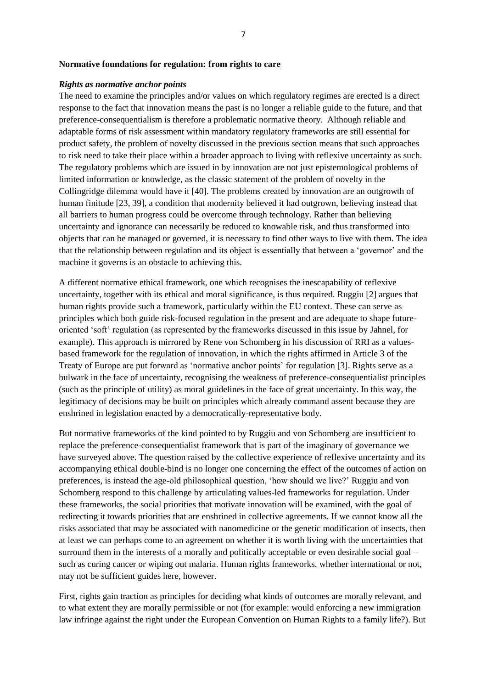#### **Normative foundations for regulation: from rights to care**

#### *Rights as normative anchor points*

The need to examine the principles and/or values on which regulatory regimes are erected is a direct response to the fact that innovation means the past is no longer a reliable guide to the future, and that preference-consequentialism is therefore a problematic normative theory. Although reliable and adaptable forms of risk assessment within mandatory regulatory frameworks are still essential for product safety, the problem of novelty discussed in the previous section means that such approaches to risk need to take their place within a broader approach to living with reflexive uncertainty as such. The regulatory problems which are issued in by innovation are not just epistemological problems of limited information or knowledge, as the classic statement of the problem of novelty in the Collingridge dilemma would have it [40]. The problems created by innovation are an outgrowth of human finitude [23, 39], a condition that modernity believed it had outgrown, believing instead that all barriers to human progress could be overcome through technology. Rather than believing uncertainty and ignorance can necessarily be reduced to knowable risk, and thus transformed into objects that can be managed or governed, it is necessary to find other ways to live with them. The idea that the relationship between regulation and its object is essentially that between a 'governor' and the machine it governs is an obstacle to achieving this.

A different normative ethical framework, one which recognises the inescapability of reflexive uncertainty, together with its ethical and moral significance, is thus required. Ruggiu [2] argues that human rights provide such a framework, particularly within the EU context. These can serve as principles which both guide risk-focused regulation in the present and are adequate to shape futureoriented 'soft' regulation (as represented by the frameworks discussed in this issue by Jahnel, for example). This approach is mirrored by Rene von Schomberg in his discussion of RRI as a valuesbased framework for the regulation of innovation, in which the rights affirmed in Article 3 of the Treaty of Europe are put forward as 'normative anchor points' for regulation [3]. Rights serve as a bulwark in the face of uncertainty, recognising the weakness of preference-consequentialist principles (such as the principle of utility) as moral guidelines in the face of great uncertainty. In this way, the legitimacy of decisions may be built on principles which already command assent because they are enshrined in legislation enacted by a democratically-representative body.

But normative frameworks of the kind pointed to by Ruggiu and von Schomberg are insufficient to replace the preference-consequentialist framework that is part of the imaginary of governance we have surveyed above. The question raised by the collective experience of reflexive uncertainty and its accompanying ethical double-bind is no longer one concerning the effect of the outcomes of action on preferences, is instead the age-old philosophical question, 'how should we live?' Ruggiu and von Schomberg respond to this challenge by articulating values-led frameworks for regulation. Under these frameworks, the social priorities that motivate innovation will be examined, with the goal of redirecting it towards priorities that are enshrined in collective agreements. If we cannot know all the risks associated that may be associated with nanomedicine or the genetic modification of insects, then at least we can perhaps come to an agreement on whether it is worth living with the uncertainties that surround them in the interests of a morally and politically acceptable or even desirable social goal – such as curing cancer or wiping out malaria. Human rights frameworks, whether international or not, may not be sufficient guides here, however.

First, rights gain traction as principles for deciding what kinds of outcomes are morally relevant, and to what extent they are morally permissible or not (for example: would enforcing a new immigration law infringe against the right under the European Convention on Human Rights to a family life?). But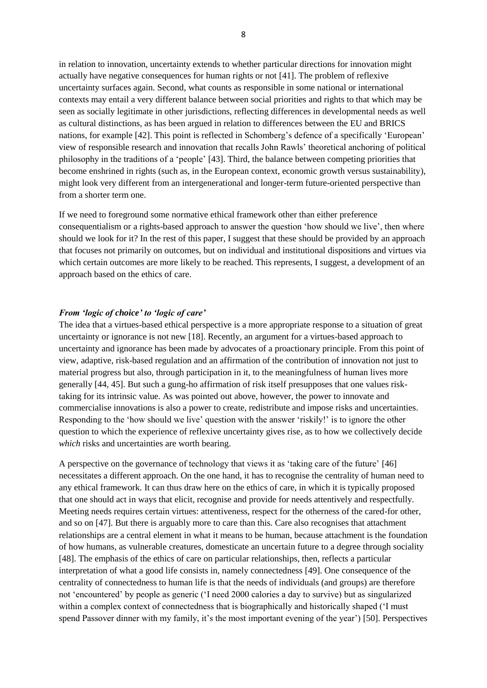in relation to innovation, uncertainty extends to whether particular directions for innovation might actually have negative consequences for human rights or not [41]. The problem of reflexive uncertainty surfaces again. Second, what counts as responsible in some national or international contexts may entail a very different balance between social priorities and rights to that which may be seen as socially legitimate in other jurisdictions, reflecting differences in developmental needs as well as cultural distinctions, as has been argued in relation to differences between the EU and BRICS nations, for example [42]. This point is reflected in Schomberg's defence of a specifically 'European' view of responsible research and innovation that recalls John Rawls' theoretical anchoring of political philosophy in the traditions of a 'people' [43]. Third, the balance between competing priorities that become enshrined in rights (such as, in the European context, economic growth versus sustainability), might look very different from an intergenerational and longer-term future-oriented perspective than from a shorter term one.

If we need to foreground some normative ethical framework other than either preference consequentialism or a rights-based approach to answer the question 'how should we live', then where should we look for it? In the rest of this paper, I suggest that these should be provided by an approach that focuses not primarily on outcomes, but on individual and institutional dispositions and virtues via which certain outcomes are more likely to be reached. This represents, I suggest, a development of an approach based on the ethics of care.

#### *From 'logic of choice' to 'logic of care'*

The idea that a virtues-based ethical perspective is a more appropriate response to a situation of great uncertainty or ignorance is not new [18]. Recently, an argument for a virtues-based approach to uncertainty and ignorance has been made by advocates of a proactionary principle. From this point of view, adaptive, risk-based regulation and an affirmation of the contribution of innovation not just to material progress but also, through participation in it, to the meaningfulness of human lives more generally [44, 45]. But such a gung-ho affirmation of risk itself presupposes that one values risktaking for its intrinsic value. As was pointed out above, however, the power to innovate and commercialise innovations is also a power to create, redistribute and impose risks and uncertainties. Responding to the 'how should we live' question with the answer 'riskily!' is to ignore the other question to which the experience of reflexive uncertainty gives rise, as to how we collectively decide *which* risks and uncertainties are worth bearing.

A perspective on the governance of technology that views it as 'taking care of the future' [46] necessitates a different approach. On the one hand, it has to recognise the centrality of human need to any ethical framework. It can thus draw here on the ethics of care, in which it is typically proposed that one should act in ways that elicit, recognise and provide for needs attentively and respectfully. Meeting needs requires certain virtues: attentiveness, respect for the otherness of the cared-for other, and so on [47]. But there is arguably more to care than this. Care also recognises that attachment relationships are a central element in what it means to be human, because attachment is the foundation of how humans, as vulnerable creatures, domesticate an uncertain future to a degree through sociality [48]. The emphasis of the ethics of care on particular relationships, then, reflects a particular interpretation of what a good life consists in, namely connectedness [49]. One consequence of the centrality of connectedness to human life is that the needs of individuals (and groups) are therefore not 'encountered' by people as generic ('I need 2000 calories a day to survive) but as singularized within a complex context of connectedness that is biographically and historically shaped ('I must spend Passover dinner with my family, it's the most important evening of the year') [50]. Perspectives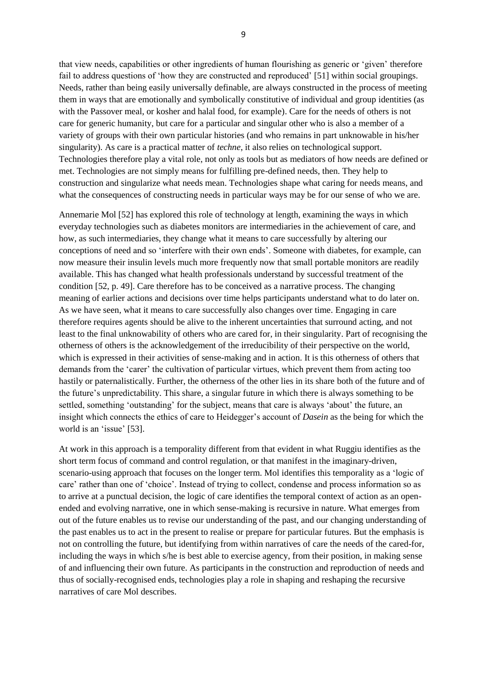that view needs, capabilities or other ingredients of human flourishing as generic or 'given' therefore fail to address questions of 'how they are constructed and reproduced' [51] within social groupings. Needs, rather than being easily universally definable, are always constructed in the process of meeting them in ways that are emotionally and symbolically constitutive of individual and group identities (as with the Passover meal, or kosher and halal food, for example). Care for the needs of others is not care for generic humanity, but care for a particular and singular other who is also a member of a variety of groups with their own particular histories (and who remains in part unknowable in his/her singularity). As care is a practical matter of *techne*, it also relies on technological support. Technologies therefore play a vital role, not only as tools but as mediators of how needs are defined or met. Technologies are not simply means for fulfilling pre-defined needs, then. They help to construction and singularize what needs mean. Technologies shape what caring for needs means, and what the consequences of constructing needs in particular ways may be for our sense of who we are.

Annemarie Mol [52] has explored this role of technology at length, examining the ways in which everyday technologies such as diabetes monitors are intermediaries in the achievement of care, and how, as such intermediaries, they change what it means to care successfully by altering our conceptions of need and so 'interfere with their own ends'. Someone with diabetes, for example, can now measure their insulin levels much more frequently now that small portable monitors are readily available. This has changed what health professionals understand by successful treatment of the condition [52, p. 49]. Care therefore has to be conceived as a narrative process. The changing meaning of earlier actions and decisions over time helps participants understand what to do later on. As we have seen, what it means to care successfully also changes over time. Engaging in care therefore requires agents should be alive to the inherent uncertainties that surround acting, and not least to the final unknowability of others who are cared for, in their singularity. Part of recognising the otherness of others is the acknowledgement of the irreducibility of their perspective on the world, which is expressed in their activities of sense-making and in action. It is this otherness of others that demands from the 'carer' the cultivation of particular virtues, which prevent them from acting too hastily or paternalistically. Further, the otherness of the other lies in its share both of the future and of the future's unpredictability. This share, a singular future in which there is always something to be settled, something 'outstanding' for the subject, means that care is always 'about' the future, an insight which connects the ethics of care to Heidegger's account of *Dasein* as the being for which the world is an 'issue' [53].

At work in this approach is a temporality different from that evident in what Ruggiu identifies as the short term focus of command and control regulation, or that manifest in the imaginary-driven, scenario-using approach that focuses on the longer term. Mol identifies this temporality as a 'logic of care' rather than one of 'choice'. Instead of trying to collect, condense and process information so as to arrive at a punctual decision, the logic of care identifies the temporal context of action as an openended and evolving narrative, one in which sense-making is recursive in nature. What emerges from out of the future enables us to revise our understanding of the past, and our changing understanding of the past enables us to act in the present to realise or prepare for particular futures. But the emphasis is not on controlling the future, but identifying from within narratives of care the needs of the cared-for, including the ways in which s/he is best able to exercise agency, from their position, in making sense of and influencing their own future. As participants in the construction and reproduction of needs and thus of socially-recognised ends, technologies play a role in shaping and reshaping the recursive narratives of care Mol describes.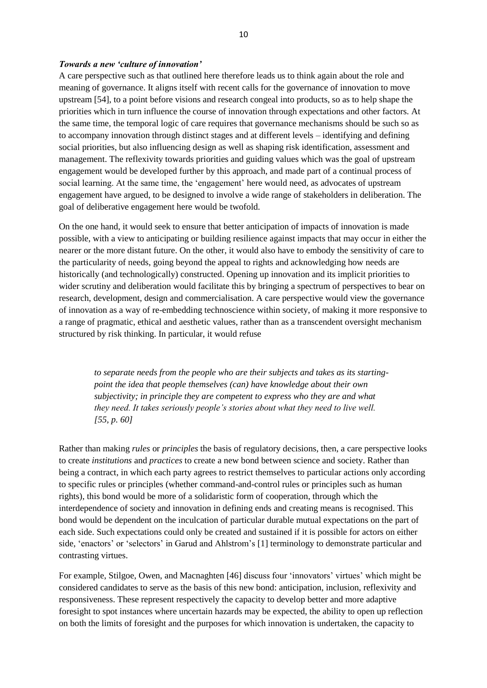#### *Towards a new 'culture of innovation'*

A care perspective such as that outlined here therefore leads us to think again about the role and meaning of governance. It aligns itself with recent calls for the governance of innovation to move upstream [54], to a point before visions and research congeal into products, so as to help shape the priorities which in turn influence the course of innovation through expectations and other factors. At the same time, the temporal logic of care requires that governance mechanisms should be such so as to accompany innovation through distinct stages and at different levels – identifying and defining social priorities, but also influencing design as well as shaping risk identification, assessment and management. The reflexivity towards priorities and guiding values which was the goal of upstream engagement would be developed further by this approach, and made part of a continual process of social learning. At the same time, the 'engagement' here would need, as advocates of upstream engagement have argued, to be designed to involve a wide range of stakeholders in deliberation. The goal of deliberative engagement here would be twofold.

On the one hand, it would seek to ensure that better anticipation of impacts of innovation is made possible, with a view to anticipating or building resilience against impacts that may occur in either the nearer or the more distant future. On the other, it would also have to embody the sensitivity of care to the particularity of needs, going beyond the appeal to rights and acknowledging how needs are historically (and technologically) constructed. Opening up innovation and its implicit priorities to wider scrutiny and deliberation would facilitate this by bringing a spectrum of perspectives to bear on research, development, design and commercialisation. A care perspective would view the governance of innovation as a way of re-embedding technoscience within society, of making it more responsive to a range of pragmatic, ethical and aesthetic values, rather than as a transcendent oversight mechanism structured by risk thinking. In particular, it would refuse

*to separate needs from the people who are their subjects and takes as its startingpoint the idea that people themselves (can) have knowledge about their own subjectivity; in principle they are competent to express who they are and what they need. It takes seriously people's stories about what they need to live well. [55, p. 60]* 

Rather than making *rules* or *principles* the basis of regulatory decisions, then, a care perspective looks to create *institutions* and *practices* to create a new bond between science and society. Rather than being a contract, in which each party agrees to restrict themselves to particular actions only according to specific rules or principles (whether command-and-control rules or principles such as human rights), this bond would be more of a solidaristic form of cooperation, through which the interdependence of society and innovation in defining ends and creating means is recognised. This bond would be dependent on the inculcation of particular durable mutual expectations on the part of each side. Such expectations could only be created and sustained if it is possible for actors on either side, 'enactors' or 'selectors' in Garud and Ahlstrom's [1] terminology to demonstrate particular and contrasting virtues.

For example, Stilgoe, Owen, and Macnaghten [46] discuss four 'innovators' virtues' which might be considered candidates to serve as the basis of this new bond: anticipation, inclusion, reflexivity and responsiveness. These represent respectively the capacity to develop better and more adaptive foresight to spot instances where uncertain hazards may be expected, the ability to open up reflection on both the limits of foresight and the purposes for which innovation is undertaken, the capacity to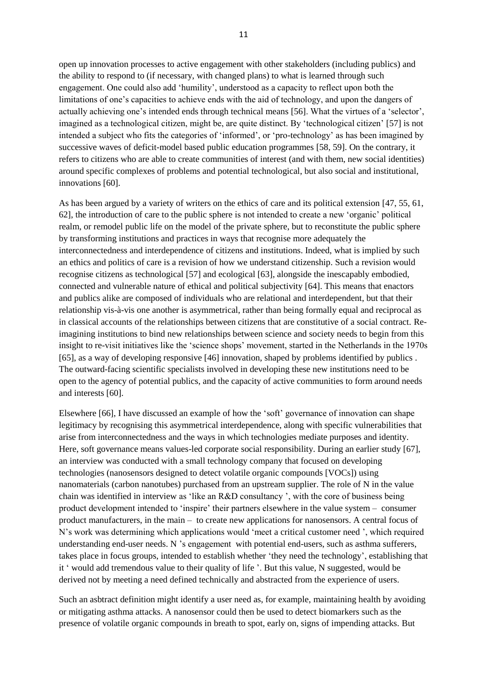open up innovation processes to active engagement with other stakeholders (including publics) and the ability to respond to (if necessary, with changed plans) to what is learned through such engagement. One could also add 'humility', understood as a capacity to reflect upon both the limitations of one's capacities to achieve ends with the aid of technology, and upon the dangers of actually achieving one's intended ends through technical means [56]. What the virtues of a 'selector', imagined as a technological citizen, might be, are quite distinct. By 'technological citizen' [57] is not intended a subject who fits the categories of 'informed', or 'pro-technology' as has been imagined by successive waves of deficit-model based public education programmes [58, 59]. On the contrary, it refers to citizens who are able to create communities of interest (and with them, new social identities) around specific complexes of problems and potential technological, but also social and institutional, innovations [60].

As has been argued by a variety of writers on the ethics of care and its political extension [47, 55, 61, 62], the introduction of care to the public sphere is not intended to create a new 'organic' political realm, or remodel public life on the model of the private sphere, but to reconstitute the public sphere by transforming institutions and practices in ways that recognise more adequately the interconnectedness and interdependence of citizens and institutions. Indeed, what is implied by such an ethics and politics of care is a revision of how we understand citizenship. Such a revision would recognise citizens as technological [57] and ecological [63], alongside the inescapably embodied, connected and vulnerable nature of ethical and political subjectivity [64]. This means that enactors and publics alike are composed of individuals who are relational and interdependent, but that their relationship vis-à-vis one another is asymmetrical, rather than being formally equal and reciprocal as in classical accounts of the relationships between citizens that are constitutive of a social contract. Reimagining institutions to bind new relationships between science and society needs to begin from this insight to re-visit initiatives like the 'science shops' movement, started in the Netherlands in the 1970s [65], as a way of developing responsive [46] innovation, shaped by problems identified by publics . The outward-facing scientific specialists involved in developing these new institutions need to be open to the agency of potential publics, and the capacity of active communities to form around needs and interests [60].

Elsewhere [66], I have discussed an example of how the 'soft' governance of innovation can shape legitimacy by recognising this asymmetrical interdependence, along with specific vulnerabilities that arise from interconnectedness and the ways in which technologies mediate purposes and identity. Here, soft governance means values-led corporate social responsibility. During an earlier study [67], an interview was conducted with a small technology company that focused on developing technologies (nanosensors designed to detect volatile organic compounds [VOCs]) using nanomaterials (carbon nanotubes) purchased from an upstream supplier. The role of N in the value chain was identified in interview as 'like an R&D consultancy ', with the core of business being product development intended to 'inspire' their partners elsewhere in the value system – consumer product manufacturers, in the main – to create new applications for nanosensors. A central focus of N's work was determining which applications would 'meet a critical customer need ', which required understanding end-user needs. N 's engagement with potential end-users, such as asthma sufferers, takes place in focus groups, intended to establish whether 'they need the technology', establishing that it ' would add tremendous value to their quality of life '. But this value, N suggested, would be derived not by meeting a need defined technically and abstracted from the experience of users.

Such an asbtract definition might identify a user need as, for example, maintaining health by avoiding or mitigating asthma attacks. A nanosensor could then be used to detect biomarkers such as the presence of volatile organic compounds in breath to spot, early on, signs of impending attacks. But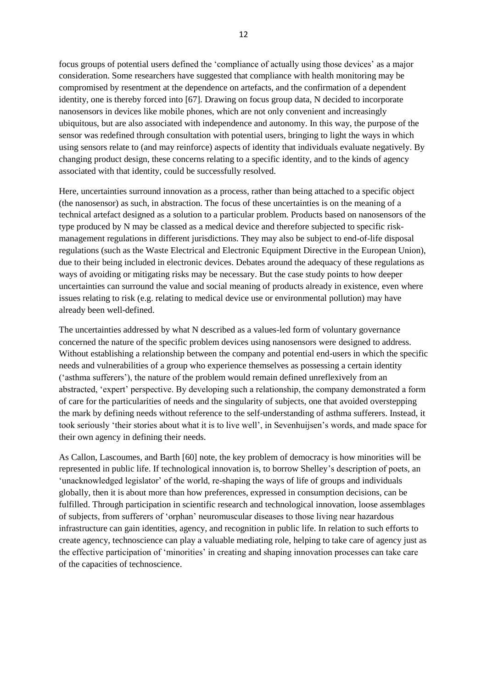focus groups of potential users defined the 'compliance of actually using those devices' as a major consideration. Some researchers have suggested that compliance with health monitoring may be compromised by resentment at the dependence on artefacts, and the confirmation of a dependent identity, one is thereby forced into [67]. Drawing on focus group data, N decided to incorporate nanosensors in devices like mobile phones, which are not only convenient and increasingly ubiquitous, but are also associated with independence and autonomy. In this way, the purpose of the sensor was redefined through consultation with potential users, bringing to light the ways in which using sensors relate to (and may reinforce) aspects of identity that individuals evaluate negatively. By changing product design, these concerns relating to a specific identity, and to the kinds of agency associated with that identity, could be successfully resolved.

Here, uncertainties surround innovation as a process, rather than being attached to a specific object (the nanosensor) as such, in abstraction. The focus of these uncertainties is on the meaning of a technical artefact designed as a solution to a particular problem. Products based on nanosensors of the type produced by N may be classed as a medical device and therefore subjected to specific riskmanagement regulations in different jurisdictions. They may also be subject to end-of-life disposal regulations (such as the Waste Electrical and Electronic Equipment Directive in the European Union), due to their being included in electronic devices. Debates around the adequacy of these regulations as ways of avoiding or mitigating risks may be necessary. But the case study points to how deeper uncertainties can surround the value and social meaning of products already in existence, even where issues relating to risk (e.g. relating to medical device use or environmental pollution) may have already been well-defined.

The uncertainties addressed by what N described as a values-led form of voluntary governance concerned the nature of the specific problem devices using nanosensors were designed to address. Without establishing a relationship between the company and potential end-users in which the specific needs and vulnerabilities of a group who experience themselves as possessing a certain identity ('asthma sufferers'), the nature of the problem would remain defined unreflexively from an abstracted, 'expert' perspective. By developing such a relationship, the company demonstrated a form of care for the particularities of needs and the singularity of subjects, one that avoided overstepping the mark by defining needs without reference to the self-understanding of asthma sufferers. Instead, it took seriously 'their stories about what it is to live well', in Sevenhuijsen's words, and made space for their own agency in defining their needs.

As Callon, Lascoumes, and Barth [60] note, the key problem of democracy is how minorities will be represented in public life. If technological innovation is, to borrow Shelley's description of poets, an 'unacknowledged legislator' of the world, re-shaping the ways of life of groups and individuals globally, then it is about more than how preferences, expressed in consumption decisions, can be fulfilled. Through participation in scientific research and technological innovation, loose assemblages of subjects, from sufferers of 'orphan' neuromuscular diseases to those living near hazardous infrastructure can gain identities, agency, and recognition in public life. In relation to such efforts to create agency, technoscience can play a valuable mediating role, helping to take care of agency just as the effective participation of 'minorities' in creating and shaping innovation processes can take care of the capacities of technoscience.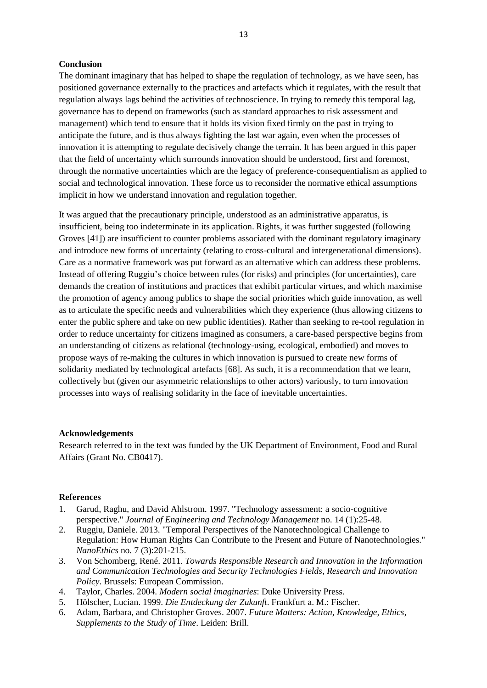#### **Conclusion**

The dominant imaginary that has helped to shape the regulation of technology, as we have seen, has positioned governance externally to the practices and artefacts which it regulates, with the result that regulation always lags behind the activities of technoscience. In trying to remedy this temporal lag, governance has to depend on frameworks (such as standard approaches to risk assessment and management) which tend to ensure that it holds its vision fixed firmly on the past in trying to anticipate the future, and is thus always fighting the last war again, even when the processes of innovation it is attempting to regulate decisively change the terrain. It has been argued in this paper that the field of uncertainty which surrounds innovation should be understood, first and foremost, through the normative uncertainties which are the legacy of preference-consequentialism as applied to social and technological innovation. These force us to reconsider the normative ethical assumptions implicit in how we understand innovation and regulation together.

It was argued that the precautionary principle, understood as an administrative apparatus, is insufficient, being too indeterminate in its application. Rights, it was further suggested (following Groves [41]) are insufficient to counter problems associated with the dominant regulatory imaginary and introduce new forms of uncertainty (relating to cross-cultural and intergenerational dimensions). Care as a normative framework was put forward as an alternative which can address these problems. Instead of offering Ruggiu's choice between rules (for risks) and principles (for uncertainties), care demands the creation of institutions and practices that exhibit particular virtues, and which maximise the promotion of agency among publics to shape the social priorities which guide innovation, as well as to articulate the specific needs and vulnerabilities which they experience (thus allowing citizens to enter the public sphere and take on new public identities). Rather than seeking to re-tool regulation in order to reduce uncertainty for citizens imagined as consumers, a care-based perspective begins from an understanding of citizens as relational (technology-using, ecological, embodied) and moves to propose ways of re-making the cultures in which innovation is pursued to create new forms of solidarity mediated by technological artefacts [68]. As such, it is a recommendation that we learn, collectively but (given our asymmetric relationships to other actors) variously, to turn innovation processes into ways of realising solidarity in the face of inevitable uncertainties.

#### **Acknowledgements**

Research referred to in the text was funded by the UK Department of Environment, Food and Rural Affairs (Grant No. CB0417).

#### **References**

- 1. Garud, Raghu, and David Ahlstrom. 1997. "Technology assessment: a socio-cognitive perspective." *Journal of Engineering and Technology Management* no. 14 (1):25-48.
- 2. Ruggiu, Daniele. 2013. "Temporal Perspectives of the Nanotechnological Challenge to Regulation: How Human Rights Can Contribute to the Present and Future of Nanotechnologies." *NanoEthics* no. 7 (3):201-215.
- 3. Von Schomberg, René. 2011. *Towards Responsible Research and Innovation in the Information and Communication Technologies and Security Technologies Fields*, *Research and Innovation Policy*. Brussels: European Commission.
- 4. Taylor, Charles. 2004. *Modern social imaginaries*: Duke University Press.
- 5. Hölscher, Lucian. 1999. *Die Entdeckung der Zukunft*. Frankfurt a. M.: Fischer.
- 6. Adam, Barbara, and Christopher Groves. 2007. *Future Matters: Action, Knowledge, Ethics*, *Supplements to the Study of Time*. Leiden: Brill.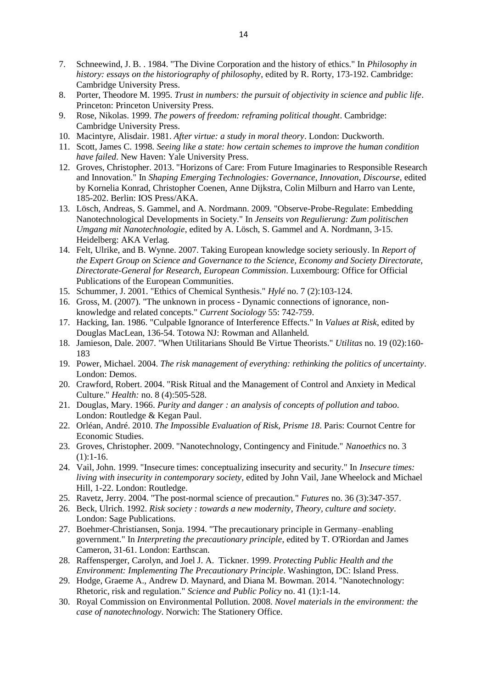- 7. Schneewind, J. B. . 1984. "The Divine Corporation and the history of ethics." In *Philosophy in history: essays on the historiography of philosophy*, edited by R. Rorty, 173-192. Cambridge: Cambridge University Press.
- 8. Porter, Theodore M. 1995. *Trust in numbers: the pursuit of objectivity in science and public life*. Princeton: Princeton University Press.
- 9. Rose, Nikolas. 1999. *The powers of freedom: reframing political thought*. Cambridge: Cambridge University Press.
- 10. Macintyre, Alisdair. 1981. *After virtue: a study in moral theory*. London: Duckworth.
- 11. Scott, James C. 1998. *Seeing like a state: how certain schemes to improve the human condition have failed*. New Haven: Yale University Press.
- 12. Groves, Christopher. 2013. "Horizons of Care: From Future Imaginaries to Responsible Research and Innovation." In *Shaping Emerging Technologies: Governance, Innovation, Discourse*, edited by Kornelia Konrad, Christopher Coenen, Anne Dijkstra, Colin Milburn and Harro van Lente, 185-202. Berlin: IOS Press/AKA.
- 13. Lösch, Andreas, S. Gammel, and A. Nordmann. 2009. "Observe-Probe-Regulate: Embedding Nanotechnological Developments in Society." In *Jenseits von Regulierung: Zum politischen Umgang mit Nanotechnologie*, edited by A. Lösch, S. Gammel and A. Nordmann, 3-15. Heidelberg: AKA Verlag.
- 14. Felt, Ulrike, and B. Wynne. 2007. Taking European knowledge society seriously. In *Report of the Expert Group on Science and Governance to the Science, Economy and Society Directorate, Directorate-General for Research, European Commission*. Luxembourg: Office for Official Publications of the European Communities.
- 15. Schummer, J. 2001. "Ethics of Chemical Synthesis." *Hylé* no. 7 (2):103-124.
- 16. Gross, M. (2007). "The unknown in process Dynamic connections of ignorance, nonknowledge and related concepts." *Current Sociology* 55: 742-759.
- 17. Hacking, Ian. 1986. "Culpable Ignorance of Interference Effects." In *Values at Risk*, edited by Douglas MacLean, 136-54. Totowa NJ: Rowman and Allanheld.
- 18. Jamieson, Dale. 2007. "When Utilitarians Should Be Virtue Theorists." *Utilitas* no. 19 (02):160- 183
- 19. Power, Michael. 2004. *The risk management of everything: rethinking the politics of uncertainty*. London: Demos.
- 20. Crawford, Robert. 2004. "Risk Ritual and the Management of Control and Anxiety in Medical Culture." *Health:* no. 8 (4):505-528.
- 21. Douglas, Mary. 1966. *Purity and danger : an analysis of concepts of pollution and taboo*. London: Routledge & Kegan Paul.
- 22. Orléan, André. 2010. *The Impossible Evaluation of Risk*, *Prisme 18*. Paris: Cournot Centre for Economic Studies.
- 23. Groves, Christopher. 2009. "Nanotechnology, Contingency and Finitude." *Nanoethics* no. 3  $(1):1-16.$
- 24. Vail, John. 1999. "Insecure times: conceptualizing insecurity and security." In *Insecure times: living with insecurity in contemporary society*, edited by John Vail, Jane Wheelock and Michael Hill, 1-22. London: Routledge.
- 25. Ravetz, Jerry. 2004. "The post-normal science of precaution." *Futures* no. 36 (3):347-357.
- 26. Beck, Ulrich. 1992. *Risk society : towards a new modernity*, *Theory, culture and society*. London: Sage Publications.
- 27. Boehmer-Christiansen, Sonja. 1994. "The precautionary principle in Germany–enabling government." In *Interpreting the precautionary principle*, edited by T. O'Riordan and James Cameron, 31-61. London: Earthscan.
- 28. Raffensperger, Carolyn, and Joel J. A. Tickner. 1999. *Protecting Public Health and the Environment: Implementing The Precautionary Principle*. Washington, DC: Island Press.
- 29. Hodge, Graeme A., Andrew D. Maynard, and Diana M. Bowman. 2014. "Nanotechnology: Rhetoric, risk and regulation." *Science and Public Policy* no. 41 (1):1-14.
- 30. Royal Commission on Environmental Pollution. 2008. *Novel materials in the environment: the case of nanotechnology*. Norwich: The Stationery Office.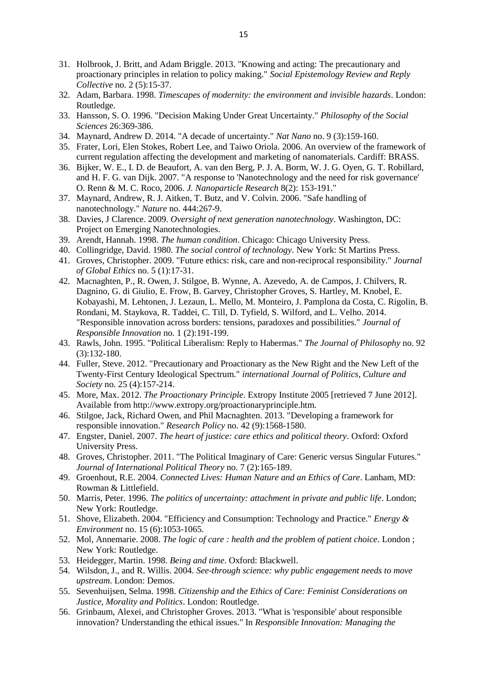- 31. Holbrook, J. Britt, and Adam Briggle. 2013. "Knowing and acting: The precautionary and proactionary principles in relation to policy making." *Social Epistemology Review and Reply Collective* no. 2 (5):15-37.
- 32. Adam, Barbara. 1998. *Timescapes of modernity: the environment and invisible hazards*. London: Routledge.
- 33. Hansson, S. O. 1996. "Decision Making Under Great Uncertainty." *Philosophy of the Social Sciences* 26:369-386.
- 34. Maynard, Andrew D. 2014. "A decade of uncertainty." *Nat Nano* no. 9 (3):159-160.
- 35. Frater, Lori, Elen Stokes, Robert Lee, and Taiwo Oriola. 2006. An overview of the framework of current regulation affecting the development and marketing of nanomaterials. Cardiff: BRASS.
- 36. Bijker, W. E., I. D. de Beaufort, A. van den Berg, P. J. A. Borm, W. J. G. Oyen, G. T. Robillard, and H. F. G. van Dijk. 2007. "A response to 'Nanotechnology and the need for risk governance' O. Renn & M. C. Roco, 2006. *J. Nanoparticle Research* 8(2): 153-191."
- 37. Maynard, Andrew, R. J. Aitken, T. Butz, and V. Colvin. 2006. "Safe handling of nanotechnology." *Nature* no. 444:267-9.
- 38. Davies, J Clarence. 2009. *Oversight of next generation nanotechnology*. Washington, DC: Project on Emerging Nanotechnologies.
- 39. Arendt, Hannah. 1998. *The human condition*. Chicago: Chicago University Press.
- 40. Collingridge, David. 1980. *The social control of technology*. New York: St Martins Press.
- 41. Groves, Christopher. 2009. "Future ethics: risk, care and non-reciprocal responsibility." *Journal of Global Ethics* no. 5 (1):17-31.
- 42. Macnaghten, P., R. Owen, J. Stilgoe, B. Wynne, A. Azevedo, A. de Campos, J. Chilvers, R. Dagnino, G. di Giulio, E. Frow, B. Garvey, Christopher Groves, S. Hartley, M. Knobel, E. Kobayashi, M. Lehtonen, J. Lezaun, L. Mello, M. Monteiro, J. Pamplona da Costa, C. Rigolin, B. Rondani, M. Staykova, R. Taddei, C. Till, D. Tyfield, S. Wilford, and L. Velho. 2014. "Responsible innovation across borders: tensions, paradoxes and possibilities." *Journal of Responsible Innovation* no. 1 (2):191-199.
- 43. Rawls, John. 1995. "Political Liberalism: Reply to Habermas." *The Journal of Philosophy* no. 92 (3):132-180.
- 44. Fuller, Steve. 2012. "Precautionary and Proactionary as the New Right and the New Left of the Twenty-First Century Ideological Spectrum." *international Journal of Politics, Culture and Society* no. 25 (4):157-214.
- 45. More, Max. 2012. *The Proactionary Principle*. Extropy Institute 2005 [retrieved 7 June 2012]. Available from http://www.extropy.org/proactionaryprinciple.htm.
- 46. Stilgoe, Jack, Richard Owen, and Phil Macnaghten. 2013. "Developing a framework for responsible innovation." *Research Policy* no. 42 (9):1568-1580.
- 47. Engster, Daniel. 2007. *The heart of justice: care ethics and political theory*. Oxford: Oxford University Press.
- 48. Groves, Christopher. 2011. "The Political Imaginary of Care: Generic versus Singular Futures." *Journal of International Political Theory* no. 7 (2):165-189.
- 49. Groenhout, R.E. 2004. *Connected Lives: Human Nature and an Ethics of Care*. Lanham, MD: Rowman & Littlefield.
- 50. Marris, Peter. 1996. *The politics of uncertainty: attachment in private and public life*. London; New York: Routledge.
- 51. Shove, Elizabeth. 2004. "Efficiency and Consumption: Technology and Practice." *Energy & Environment* no. 15 (6):1053-1065.
- 52. Mol, Annemarie. 2008. *The logic of care : health and the problem of patient choice*. London ; New York: Routledge.
- 53. Heidegger, Martin. 1998. *Being and time*. Oxford: Blackwell.
- 54. Wilsdon, J., and R. Willis. 2004. *See-through science: why public engagement needs to move upstream*. London: Demos.
- 55. Sevenhuijsen, Selma. 1998. *Citizenship and the Ethics of Care: Feminist Considerations on Justice, Morality and Politics*. London: Routledge.
- 56. Grinbaum, Alexei, and Christopher Groves. 2013. "What is 'responsible' about responsible innovation? Understanding the ethical issues." In *Responsible Innovation: Managing the*